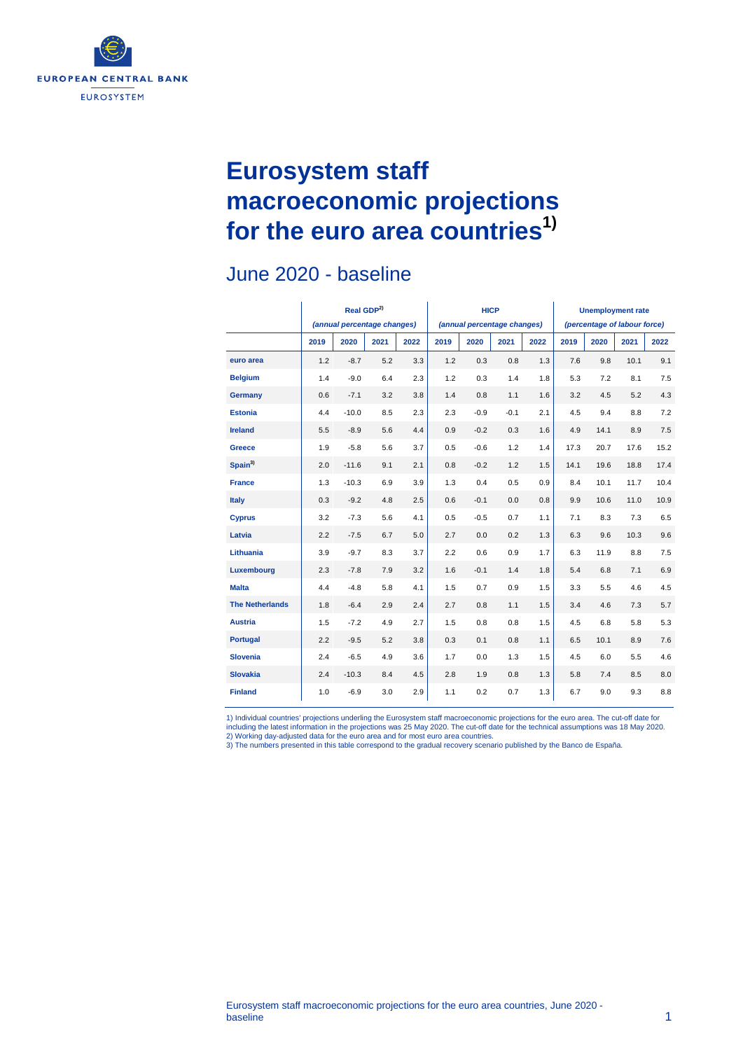

# **Eurosystem staff macroeconomic projections for the euro area countries1)**

### June 2020 - baseline

|                        | Real GDP <sup>2)</sup><br>(annual percentage changes) |         |      |      |      | <b>HICP</b><br>(annual percentage changes) |        |      | <b>Unemployment rate</b><br>(percentage of labour force) |      |      |      |
|------------------------|-------------------------------------------------------|---------|------|------|------|--------------------------------------------|--------|------|----------------------------------------------------------|------|------|------|
|                        | 2019                                                  | 2020    | 2021 | 2022 | 2019 | 2020                                       | 2021   | 2022 | 2019                                                     | 2020 | 2021 | 2022 |
| euro area              | 1.2                                                   | $-8.7$  | 5.2  | 3.3  | 1.2  | 0.3                                        | 0.8    | 1.3  | 7.6                                                      | 9.8  | 10.1 | 9.1  |
| <b>Belgium</b>         | 1.4                                                   | $-9.0$  | 6.4  | 2.3  | 1.2  | 0.3                                        | 1.4    | 1.8  | 5.3                                                      | 7.2  | 8.1  | 7.5  |
| Germany                | 0.6                                                   | $-7.1$  | 3.2  | 3.8  | 1.4  | 0.8                                        | 1.1    | 1.6  | 3.2                                                      | 4.5  | 5.2  | 4.3  |
| <b>Estonia</b>         | 4.4                                                   | $-10.0$ | 8.5  | 2.3  | 2.3  | $-0.9$                                     | $-0.1$ | 2.1  | 4.5                                                      | 9.4  | 8.8  | 7.2  |
| <b>Ireland</b>         | 5.5                                                   | $-8.9$  | 5.6  | 4.4  | 0.9  | $-0.2$                                     | 0.3    | 1.6  | 4.9                                                      | 14.1 | 8.9  | 7.5  |
| Greece                 | 1.9                                                   | $-5.8$  | 5.6  | 3.7  | 0.5  | $-0.6$                                     | 1.2    | 1.4  | 17.3                                                     | 20.7 | 17.6 | 15.2 |
| Spain <sup>3)</sup>    | 2.0                                                   | $-11.6$ | 9.1  | 2.1  | 0.8  | $-0.2$                                     | 1.2    | 1.5  | 14.1                                                     | 19.6 | 18.8 | 17.4 |
| <b>France</b>          | 1.3                                                   | $-10.3$ | 6.9  | 3.9  | 1.3  | 0.4                                        | 0.5    | 0.9  | 8.4                                                      | 10.1 | 11.7 | 10.4 |
| <b>Italy</b>           | 0.3                                                   | $-9.2$  | 4.8  | 2.5  | 0.6  | $-0.1$                                     | 0.0    | 0.8  | 9.9                                                      | 10.6 | 11.0 | 10.9 |
| <b>Cyprus</b>          | 3.2                                                   | $-7.3$  | 5.6  | 4.1  | 0.5  | $-0.5$                                     | 0.7    | 1.1  | 7.1                                                      | 8.3  | 7.3  | 6.5  |
| Latvia                 | 2.2                                                   | $-7.5$  | 6.7  | 5.0  | 2.7  | 0.0                                        | 0.2    | 1.3  | 6.3                                                      | 9.6  | 10.3 | 9.6  |
| Lithuania              | 3.9                                                   | $-9.7$  | 8.3  | 3.7  | 2.2  | 0.6                                        | 0.9    | 1.7  | 6.3                                                      | 11.9 | 8.8  | 7.5  |
| Luxembourg             | 2.3                                                   | $-7.8$  | 7.9  | 3.2  | 1.6  | $-0.1$                                     | 1.4    | 1.8  | 5.4                                                      | 6.8  | 7.1  | 6.9  |
| <b>Malta</b>           | 4.4                                                   | $-4.8$  | 5.8  | 4.1  | 1.5  | 0.7                                        | 0.9    | 1.5  | 3.3                                                      | 5.5  | 4.6  | 4.5  |
| <b>The Netherlands</b> | 1.8                                                   | $-6.4$  | 2.9  | 2.4  | 2.7  | 0.8                                        | 1.1    | 1.5  | 3.4                                                      | 4.6  | 7.3  | 5.7  |
| <b>Austria</b>         | 1.5                                                   | $-7.2$  | 4.9  | 2.7  | 1.5  | 0.8                                        | 0.8    | 1.5  | 4.5                                                      | 6.8  | 5.8  | 5.3  |
| <b>Portugal</b>        | 2.2                                                   | $-9.5$  | 5.2  | 3.8  | 0.3  | 0.1                                        | 0.8    | 1.1  | 6.5                                                      | 10.1 | 8.9  | 7.6  |
| <b>Slovenia</b>        | 2.4                                                   | $-6.5$  | 4.9  | 3.6  | 1.7  | 0.0                                        | 1.3    | 1.5  | 4.5                                                      | 6.0  | 5.5  | 4.6  |
| <b>Slovakia</b>        | 2.4                                                   | $-10.3$ | 8.4  | 4.5  | 2.8  | 1.9                                        | 0.8    | 1.3  | 5.8                                                      | 7.4  | 8.5  | 8.0  |
| <b>Finland</b>         | 1.0                                                   | $-6.9$  | 3.0  | 2.9  | 1.1  | 0.2                                        | 0.7    | 1.3  | 6.7                                                      | 9.0  | 9.3  | 8.8  |

1) Individual countries' projections underling the Eurosystem staff macroeconomic projections for the euro area. The cut-off date for<br>including the latest information in the projections was 25 May 2020. The cut-off date fo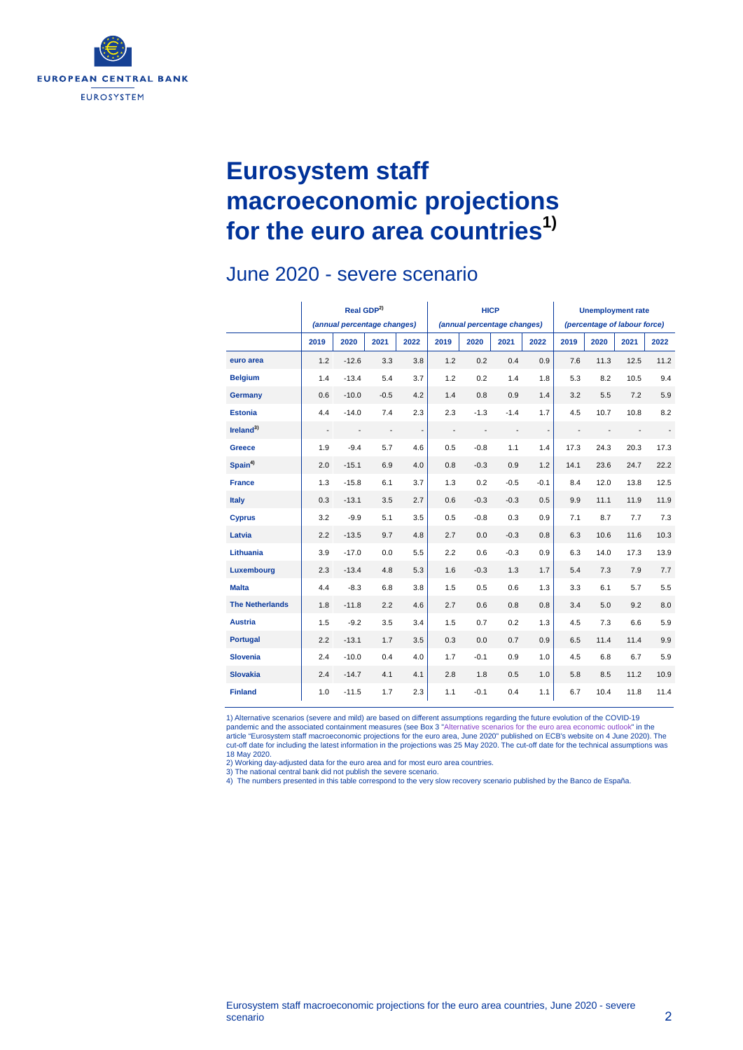

## **Eurosystem staff macroeconomic projections for the euro area countries1)**

#### **Real GDP2)** *(annual percentage changes)* **HICP** *(annual percentage changes)* **Unemployment rate** *(percentage of labour force)* **2019 2020 2021 2022 2019 2020 2021 2022 2019 2020 2021 2022 euro area** 1.2 -12.6 3.3 3.8 1.2 0.2 0.4 0.9 7.6 11.3 12.5 11.2 **Belgium** 1.4 -13.4 5.4 3.7 1.2 0.2 1.4 1.8 5.3 8.2 10.5 9.4 **Germany** 0.6 -10.0 -0.5 4.2 1.4 0.8 0.9 1.4 3.2 5.5 7.2 5.9 **Estonia** 4.4 -14.0 7.4 2.3 2.3 -1.3 -1.4 1.7 4.5 10.7 10.8 8.2 **Ireland3)** - - - - - - - - - - - - **Greece** 1.9 -9.4 5.7 4.6 0.5 -0.8 1.1 1.4 17.3 24.3 20.3 17.3 **Spain4)** 2.0 -15.1 6.9 4.0 0.8 -0.3 0.9 1.2 14.1 23.6 24.7 22.2 **France** 1.3 -15.8 6.1 3.7 1.3 0.2 -0.5 -0.1 8.4 12.0 13.8 12.5 **Italy** 0.3 -13.1 3.5 2.7 0.6 -0.3 -0.3 0.5 9.9 11.1 11.9 11.9 **Cyprus** 3.2 -9.9 5.1 3.5 0.5 -0.8 0.3 0.9 7.1 8.7 7.7 7.3 **Latvia** 2.2 -13.5 9.7 4.8 2.7 0.0 -0.3 0.8 6.3 10.6 11.6 10.3 **Lithuania** 3.9 -17.0 0.0 5.5 2.2 0.6 -0.3 0.9 6.3 14.0 17.3 13.9 **Luxembourg** 2.3 -13.4 4.8 5.3 1.6 -0.3 1.3 1.7 5.4 7.3 7.9 7.7 **Malta** 4.4 -8.3 6.8 3.8 1.5 0.5 0.6 1.3 3.3 6.1 5.7 5.5 **The Netherlands** 1.8 -11.8 2.2 4.6 2.7 0.6 0.8 0.8 3.4 5.0 9.2 8.0 **Austria** 1.5 -9.2 3.5 3.4 1.5 0.7 0.2 1.3 4.5 7.3 6.6 5.9 **Portugal** 2.2 -13.1 1.7 3.5 0.3 0.0 0.7 0.9 6.5 11.4 11.4 9.9 **Slovenia** 2.4 -10.0 0.4 4.0 1.7 -0.1 0.9 1.0 4.5 6.8 6.7 5.9 **Slovakia** 2.4 -14.7 4.1 4.1 2.8 1.8 0.5 1.0 5.8 8.5 11.2 10.9 **Finland** 1.0 -11.5 1.7 2.3 1.1 -0.1 0.4 1.1 6.7 10.4 11.8 11.4

### June 2020 - severe scenario

1) Alternative scenarios (severe and mild) are based on different assumptions regarding the future evolution of the COVID-19 pandemic and the associated containment measures (see Box 3 ["Alternative scenarios for the euro area economic outlook"](https://www.ecb.europa.eu/pub/projections/html/ecb.projections202006_eurosystemstaff%7E7628a8cf43.en.html#toc6) in the<br>article "Eurosystem staff macroeconomic projections for the euro area, June 2020" published on E cut-off date for including the latest information in the projections was 25 May 2020. The cut-off date for the technical assumptions was 18 May 2020.

2) Working day-adjusted data for the euro area and for most euro area countries.

3) The national central bank did not publish the severe scenario. 4) The numbers presented in this table correspond to the very slow recovery scenario published by the Banco de España.